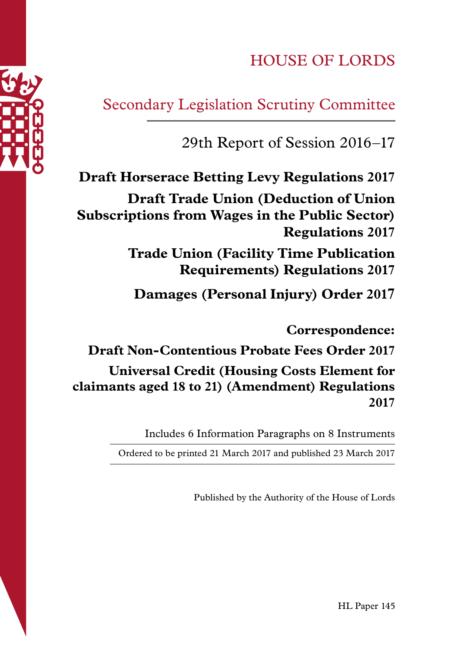# HOUSE OF LORDS

# Secondary Legislation Scrutiny Committee

# 29th Report of Session 2016–17

**Draft Horserace Betting Levy Regulations 2017 Draft Trade Union (Deduction of Union Subscriptions from Wages in the Public Sector) Regulations 2017**

> **Trade Union (Facility Time Publication Requirements) Regulations 2017**

**Damages (Personal Injury) Order 2017**

**Correspondence:** 

**Draft Non-Contentious Probate Fees Order 2017 Universal Credit (Housing Costs Element for claimants aged 18 to 21) (Amendment) Regulations 2017** 

Includes 6 Information Paragraphs on 8 Instruments

Ordered to be printed 21 March 2017 and published 23 March 2017

Published by the Authority of the House of Lords

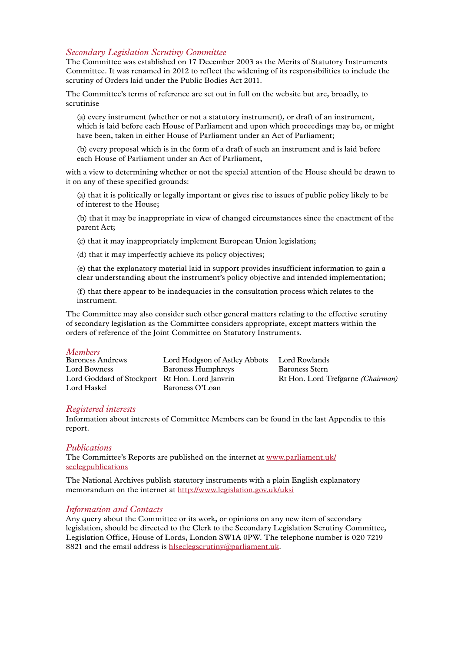#### *Secondary Legislation Scrutiny Committee*

The Committee was established on 17 December 2003 as the Merits of Statutory Instruments Committee. It was renamed in 2012 to reflect the widening of its responsibilities to include the scrutiny of Orders laid under the Public Bodies Act 2011.

The Committee's terms of reference are set out in full on the website but are, broadly, to scrutinise —

(a) every instrument (whether or not a statutory instrument), or draft of an instrument, which is laid before each House of Parliament and upon which proceedings may be, or might have been, taken in either House of Parliament under an Act of Parliament;

(b) every proposal which is in the form of a draft of such an instrument and is laid before each House of Parliament under an Act of Parliament,

with a view to determining whether or not the special attention of the House should be drawn to it on any of these specified grounds:

(a) that it is politically or legally important or gives rise to issues of public policy likely to be of interest to the House;

(b) that it may be inappropriate in view of changed circumstances since the enactment of the parent Act;

(c) that it may inappropriately implement European Union legislation;

(d) that it may imperfectly achieve its policy objectives;

(e) that the explanatory material laid in support provides insufficient information to gain a clear understanding about the instrument's policy objective and intended implementation;

(f) that there appear to be inadequacies in the consultation process which relates to the instrument.

The Committee may also consider such other general matters relating to the effective scrutiny of secondary legislation as the Committee considers appropriate, except matters within the orders of reference of the Joint Committee on Statutory Instruments.

#### *Members*

| <b>Baroness Andrews</b>                        | Lord Hodgson of Astley Abbots | Lord Rowlands                            |
|------------------------------------------------|-------------------------------|------------------------------------------|
| Lord Bowness                                   | Baroness Humphreys            | Baroness Stern                           |
| Lord Goddard of Stockport Rt Hon. Lord Janvrin |                               | Rt Hon. Lord Trefgarne <i>(Chairman)</i> |
| Lord Haskel                                    | Baroness O'Loan               |                                          |

#### *Registered interests*

Information about interests of Committee Members can be found in the last Appendix to this report.

#### *Publications*

The Committee's Reports are published on the internet at www.parliament.uk/ seclegpublications

The National Archives publish statutory instruments with a plain English explanatory memorandum on the internet at http://www.legislation.gov.uk/uksi

#### *Information and Contacts*

Any query about the Committee or its work, or opinions on any new item of secondary legislation, should be directed to the Clerk to the Secondary Legislation Scrutiny Committee, Legislation Office, House of Lords, London SW1A 0PW. The telephone number is 020 7219 8821 and the email address is hiseclegscrutiny@parliament.uk.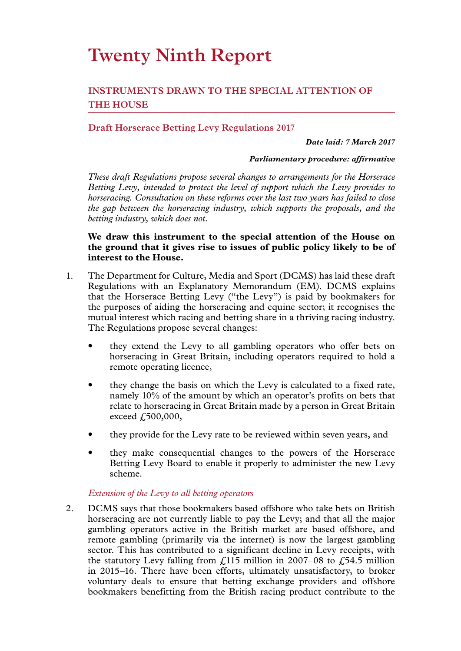# **Twenty Ninth Report**

## **INSTRUMENTS DRAWN TO THE SPECIAL ATTENTION OF THE HOUSE**

## **Draft Horserace Betting Levy Regulations 2017**

#### *Date laid: 7 March 2017*

#### *Parliamentary procedure: affirmative*

*These draft Regulations propose several changes to arrangements for the Horserace Betting Levy, intended to protect the level of support which the Levy provides to horseracing. Consultation on these reforms over the last two years has failed to close the gap between the horseracing industry, which supports the proposals, and the betting industry, which does not.*

#### **We draw this instrument to the special attention of the House on the ground that it gives rise to issues of public policy likely to be of interest to the House.**

- 1. The Department for Culture, Media and Sport (DCMS) has laid these draft Regulations with an Explanatory Memorandum (EM). DCMS explains that the Horserace Betting Levy ("the Levy") is paid by bookmakers for the purposes of aiding the horseracing and equine sector; it recognises the mutual interest which racing and betting share in a thriving racing industry. The Regulations propose several changes:
	- they extend the Levy to all gambling operators who offer bets on horseracing in Great Britain, including operators required to hold a remote operating licence,
	- they change the basis on which the Levy is calculated to a fixed rate, namely 10% of the amount by which an operator's profits on bets that relate to horseracing in Great Britain made by a person in Great Britain exceed £500,000,
	- they provide for the Levy rate to be reviewed within seven years, and
	- they make consequential changes to the powers of the Horserace Betting Levy Board to enable it properly to administer the new Levy scheme.

#### *Extension of the Levy to all betting operators*

2. DCMS says that those bookmakers based offshore who take bets on British horseracing are not currently liable to pay the Levy; and that all the major gambling operators active in the British market are based offshore, and remote gambling (primarily via the internet) is now the largest gambling sector. This has contributed to a significant decline in Levy receipts, with the statutory Levy falling from  $\frac{115}{100}$  million in 2007–08 to  $\frac{154.5}{100}$  million in 2015–16. There have been efforts, ultimately unsatisfactory, to broker voluntary deals to ensure that betting exchange providers and offshore bookmakers benefitting from the British racing product contribute to the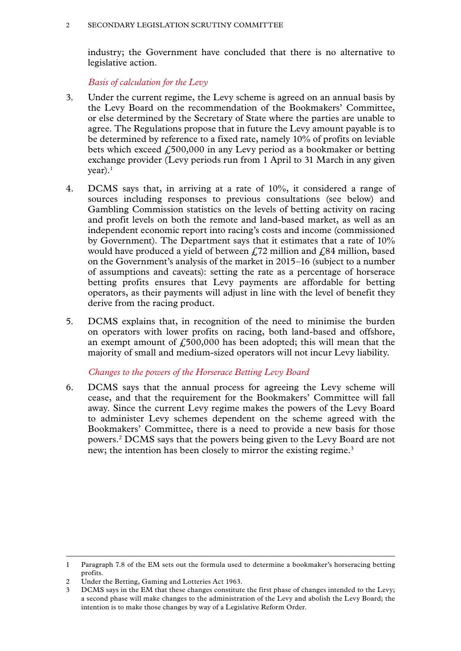industry; the Government have concluded that there is no alternative to legislative action.

*Basis of calculation for the Levy*

- 3. Under the current regime, the Levy scheme is agreed on an annual basis by the Levy Board on the recommendation of the Bookmakers' Committee, or else determined by the Secretary of State where the parties are unable to agree. The Regulations propose that in future the Levy amount payable is to be determined by reference to a fixed rate, namely 10% of profits on leviable bets which exceed  $f_0$ 500,000 in any Levy period as a bookmaker or betting exchange provider (Levy periods run from 1 April to 31 March in any given  $year).<sup>1</sup>$
- 4. DCMS says that, in arriving at a rate of 10%, it considered a range of sources including responses to previous consultations (see below) and Gambling Commission statistics on the levels of betting activity on racing and profit levels on both the remote and land-based market, as well as an independent economic report into racing's costs and income (commissioned by Government). The Department says that it estimates that a rate of 10% would have produced a yield of between  $\ell$  72 million and  $\ell$ 84 million, based on the Government's analysis of the market in 2015–16 (subject to a number of assumptions and caveats): setting the rate as a percentage of horserace betting profits ensures that Levy payments are affordable for betting operators, as their payments will adjust in line with the level of benefit they derive from the racing product.
- 5. DCMS explains that, in recognition of the need to minimise the burden on operators with lower profits on racing, both land-based and offshore, an exempt amount of  $f_{0.500,000}$  has been adopted; this will mean that the majority of small and medium-sized operators will not incur Levy liability.

#### *Changes to the powers of the Horserace Betting Levy Board*

6. DCMS says that the annual process for agreeing the Levy scheme will cease, and that the requirement for the Bookmakers' Committee will fall away. Since the current Levy regime makes the powers of the Levy Board to administer Levy schemes dependent on the scheme agreed with the Bookmakers' Committee, there is a need to provide a new basis for those powers.2 DCMS says that the powers being given to the Levy Board are not new; the intention has been closely to mirror the existing regime.<sup>3</sup>

<sup>1</sup> Paragraph 7.8 of the EM sets out the formula used to determine a bookmaker's horseracing betting profits.

<sup>2</sup> Under the Betting, Gaming and Lotteries Act 1963.

DCMS says in the EM that these changes constitute the first phase of changes intended to the Levy; a second phase will make changes to the administration of the Levy and abolish the Levy Board; the intention is to make those changes by way of a Legislative Reform Order.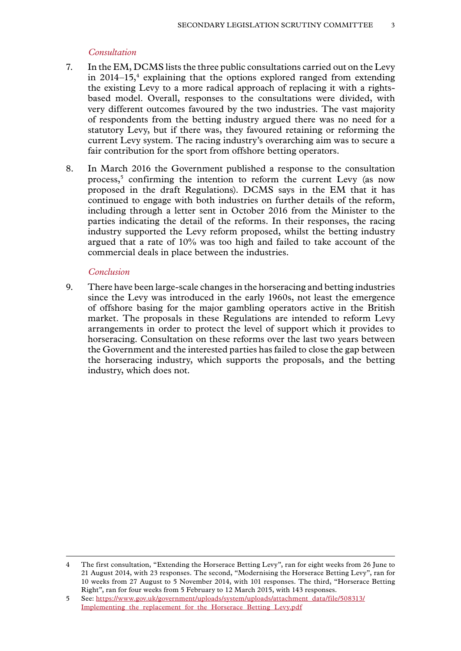#### *Consultation*

- 7. In the EM, DCMS lists the three public consultations carried out on the Levy in  $2014-15$ ,<sup>4</sup> explaining that the options explored ranged from extending the existing Levy to a more radical approach of replacing it with a rightsbased model. Overall, responses to the consultations were divided, with very different outcomes favoured by the two industries. The vast majority of respondents from the betting industry argued there was no need for a statutory Levy, but if there was, they favoured retaining or reforming the current Levy system. The racing industry's overarching aim was to secure a fair contribution for the sport from offshore betting operators.
- 8. In March 2016 the Government published a response to the consultation process,<sup>5</sup> confirming the intention to reform the current Levy (as now proposed in the draft Regulations). DCMS says in the EM that it has continued to engage with both industries on further details of the reform, including through a letter sent in October 2016 from the Minister to the parties indicating the detail of the reforms. In their responses, the racing industry supported the Levy reform proposed, whilst the betting industry argued that a rate of 10% was too high and failed to take account of the commercial deals in place between the industries.

#### *Conclusion*

9. There have been large-scale changes in the horseracing and betting industries since the Levy was introduced in the early 1960s, not least the emergence of offshore basing for the major gambling operators active in the British market. The proposals in these Regulations are intended to reform Levy arrangements in order to protect the level of support which it provides to horseracing. Consultation on these reforms over the last two years between the Government and the interested parties has failed to close the gap between the horseracing industry, which supports the proposals, and the betting industry, which does not.

<sup>4</sup> The first consultation, "Extending the Horserace Betting Levy", ran for eight weeks from 26 June to 21 August 2014, with 23 responses. The second, "Modernising the Horserace Betting Levy", ran for 10 weeks from 27 August to 5 November 2014, with 101 responses. The third, "Horserace Betting Right", ran for four weeks from 5 February to 12 March 2015, with 143 responses.

<sup>5</sup> See: [https://www.gov.uk/government/uploads/system/uploads/attachment\\_data/file/508313/](https://www.gov.uk/government/uploads/system/uploads/attachment_data/file/508313/Implementing_the_replacement_for_the_Horserace_Betting_Levy.pdf) [Implementing\\_the\\_replacement\\_for\\_the\\_Horserace\\_Betting\\_Levy.pdf](https://www.gov.uk/government/uploads/system/uploads/attachment_data/file/508313/Implementing_the_replacement_for_the_Horserace_Betting_Levy.pdf)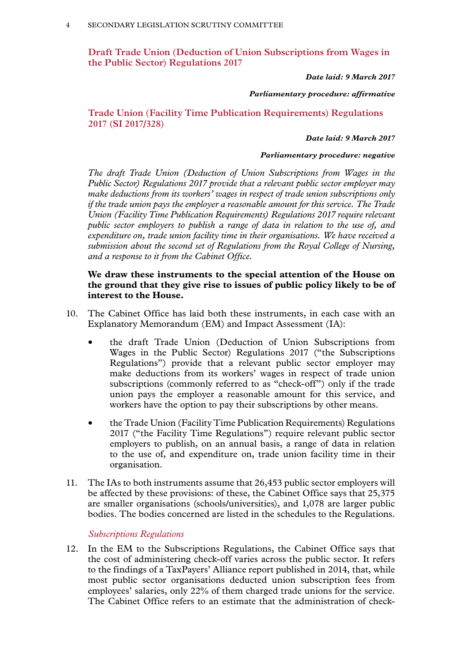**Draft Trade Union (Deduction of Union Subscriptions from Wages in the Public Sector) Regulations 2017**

*Date laid: 9 March 2017*

#### *Parliamentary procedure: affirmative*

**Trade Union (Facility Time Publication Requirements) Regulations 2017 (SI 2017/328)**

*Date laid: 9 March 2017*

#### *Parliamentary procedure: negative*

*The draft Trade Union (Deduction of Union Subscriptions from Wages in the Public Sector) Regulations 2017 provide that a relevant public sector employer may make deductions from its workers' wages in respect of trade union subscriptions only if the trade union pays the employer a reasonable amount for this service. The Trade Union (Facility Time Publication Requirements) Regulations 2017 require relevant public sector employers to publish a range of data in relation to the use of, and expenditure on, trade union facility time in their organisations. We have received a submission about the second set of Regulations from the Royal College of Nursing, and a response to it from the Cabinet Office.*

#### **We draw these instruments to the special attention of the House on the ground that they give rise to issues of public policy likely to be of interest to the House.**

- 10. The Cabinet Office has laid both these instruments, in each case with an Explanatory Memorandum (EM) and Impact Assessment (IA):
	- the draft Trade Union (Deduction of Union Subscriptions from Wages in the Public Sector) Regulations 2017 ("the Subscriptions Regulations") provide that a relevant public sector employer may make deductions from its workers' wages in respect of trade union subscriptions (commonly referred to as "check-off") only if the trade union pays the employer a reasonable amount for this service, and workers have the option to pay their subscriptions by other means.
	- the Trade Union (Facility Time Publication Requirements) Regulations 2017 ("the Facility Time Regulations") require relevant public sector employers to publish, on an annual basis, a range of data in relation to the use of, and expenditure on, trade union facility time in their organisation.
- 11. The IAs to both instruments assume that 26,453 public sector employers will be affected by these provisions: of these, the Cabinet Office says that 25,375 are smaller organisations (schools/universities), and 1,078 are larger public bodies. The bodies concerned are listed in the schedules to the Regulations.

#### *Subscriptions Regulations*

12. In the EM to the Subscriptions Regulations, the Cabinet Office says that the cost of administering check-off varies across the public sector. It refers to the findings of a TaxPayers' Alliance report published in 2014, that, while most public sector organisations deducted union subscription fees from employees' salaries, only 22% of them charged trade unions for the service. The Cabinet Office refers to an estimate that the administration of check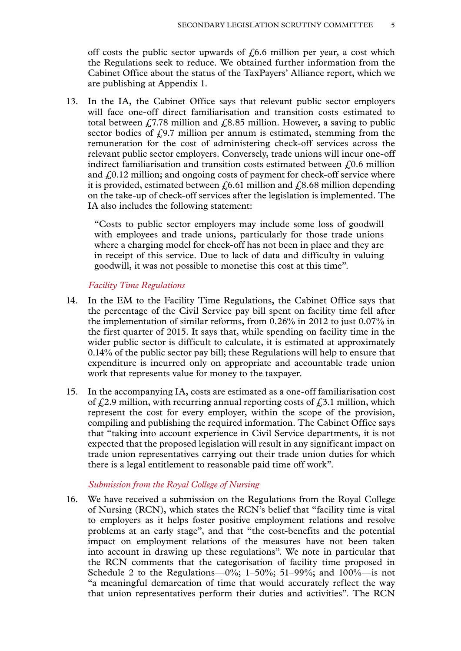off costs the public sector upwards of  $f(6.6)$  million per year, a cost which the Regulations seek to reduce. We obtained further information from the Cabinet Office about the status of the TaxPayers' Alliance report, which we are publishing at Appendix 1.

13. In the IA, the Cabinet Office says that relevant public sector employers will face one-off direct familiarisation and transition costs estimated to total between  $\angle$  (7.78 million and  $\angle$  8.85 million. However, a saving to public sector bodies of  $f(9.7)$  million per annum is estimated, stemming from the remuneration for the cost of administering check-off services across the relevant public sector employers. Conversely, trade unions will incur one-off indirect familiarisation and transition costs estimated between  $f(0.6)$  million and  $f(0.12)$  million; and ongoing costs of payment for check-off service where it is provided, estimated between  $\ell$ , 6.61 million and  $\ell$ , 8.68 million depending on the take-up of check-off services after the legislation is implemented. The IA also includes the following statement:

"Costs to public sector employers may include some loss of goodwill with employees and trade unions, particularly for those trade unions where a charging model for check-off has not been in place and they are in receipt of this service. Due to lack of data and difficulty in valuing goodwill, it was not possible to monetise this cost at this time".

#### *Facility Time Regulations*

- 14. In the EM to the Facility Time Regulations, the Cabinet Office says that the percentage of the Civil Service pay bill spent on facility time fell after the implementation of similar reforms, from 0.26% in 2012 to just 0.07% in the first quarter of 2015. It says that, while spending on facility time in the wider public sector is difficult to calculate, it is estimated at approximately 0.14% of the public sector pay bill; these Regulations will help to ensure that expenditure is incurred only on appropriate and accountable trade union work that represents value for money to the taxpayer.
- 15. In the accompanying IA, costs are estimated as a one-off familiarisation cost of  $f(2.9)$  million, with recurring annual reporting costs of  $f(3.1)$  million, which represent the cost for every employer, within the scope of the provision, compiling and publishing the required information. The Cabinet Office says that "taking into account experience in Civil Service departments, it is not expected that the proposed legislation will result in any significant impact on trade union representatives carrying out their trade union duties for which there is a legal entitlement to reasonable paid time off work".

#### *Submission from the Royal College of Nursing*

16. We have received a submission on the Regulations from the Royal College of Nursing (RCN), which states the RCN's belief that "facility time is vital to employers as it helps foster positive employment relations and resolve problems at an early stage", and that "the cost-benefits and the potential impact on employment relations of the measures have not been taken into account in drawing up these regulations". We note in particular that the RCN comments that the categorisation of facility time proposed in Schedule 2 to the Regulations—0%; 1–50%; 51–99%; and  $100\%$ —is not "a meaningful demarcation of time that would accurately reflect the way that union representatives perform their duties and activities". The RCN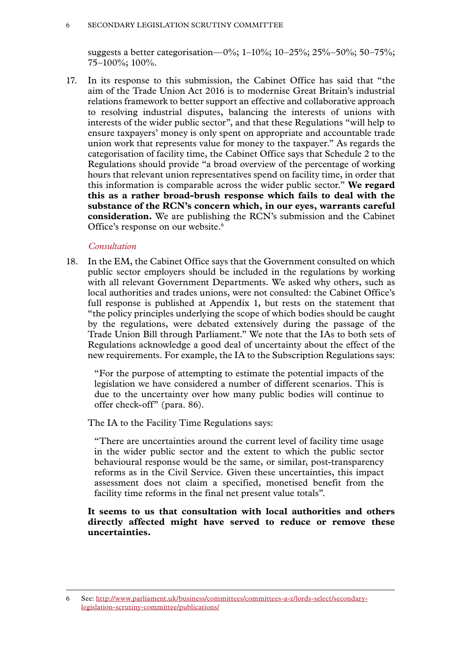#### 6 SECONDARY LEGISLATION SCRUTINY COMMITTEE

suggests a better categorisation—0%; 1-10%; 10-25%; 25%–50%; 50-75%; 75–100%; 100%.

17. In its response to this submission, the Cabinet Office has said that "the aim of the Trade Union Act 2016 is to modernise Great Britain's industrial relations framework to better support an effective and collaborative approach to resolving industrial disputes, balancing the interests of unions with interests of the wider public sector", and that these Regulations "will help to ensure taxpayers' money is only spent on appropriate and accountable trade union work that represents value for money to the taxpayer." As regards the categorisation of facility time, the Cabinet Office says that Schedule 2 to the Regulations should provide "a broad overview of the percentage of working hours that relevant union representatives spend on facility time, in order that this information is comparable across the wider public sector." **We regard this as a rather broad-brush response which fails to deal with the substance of the RCN's concern which, in our eyes, warrants careful consideration.** We are publishing the RCN's submission and the Cabinet Office's response on our website.<sup>6</sup>

#### *Consultation*

18. In the EM, the Cabinet Office says that the Government consulted on which public sector employers should be included in the regulations by working with all relevant Government Departments. We asked why others, such as local authorities and trades unions, were not consulted: the Cabinet Office's full response is published at Appendix 1, but rests on the statement that "the policy principles underlying the scope of which bodies should be caught by the regulations, were debated extensively during the passage of the Trade Union Bill through Parliament." We note that the IAs to both sets of Regulations acknowledge a good deal of uncertainty about the effect of the new requirements. For example, the IA to the Subscription Regulations says:

"For the purpose of attempting to estimate the potential impacts of the legislation we have considered a number of different scenarios. This is due to the uncertainty over how many public bodies will continue to offer check-off" (para. 86).

The IA to the Facility Time Regulations says:

"There are uncertainties around the current level of facility time usage in the wider public sector and the extent to which the public sector behavioural response would be the same, or similar, post-transparency reforms as in the Civil Service. Given these uncertainties, this impact assessment does not claim a specified, monetised benefit from the facility time reforms in the final net present value totals".

#### **It seems to us that consultation with local authorities and others directly affected might have served to reduce or remove these uncertainties.**

<sup>6</sup> See: [http://www.parliament.uk/business/committees/committees-a-z/lords-select/secondary](http://www.parliament.uk/business/committees/committees-a-z/lords-select/secondary-legislation-scrutiny-committee/publications/)[legislation-scrutiny-committee/publications/](http://www.parliament.uk/business/committees/committees-a-z/lords-select/secondary-legislation-scrutiny-committee/publications/)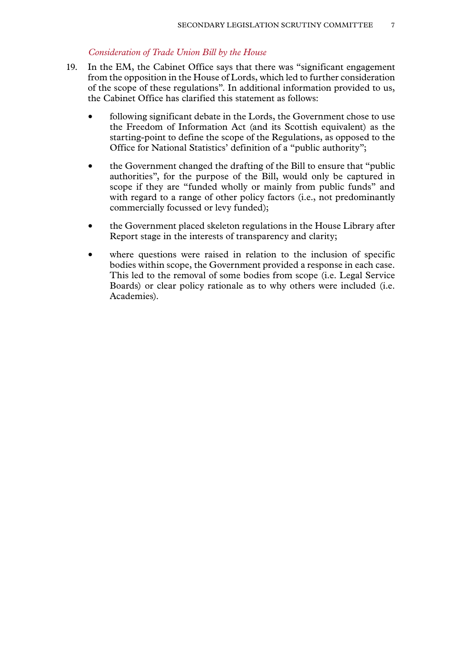#### *Consideration of Trade Union Bill by the House*

- 19. In the EM, the Cabinet Office says that there was "significant engagement from the opposition in the House of Lords, which led to further consideration of the scope of these regulations". In additional information provided to us, the Cabinet Office has clarified this statement as follows:
	- following significant debate in the Lords, the Government chose to use the Freedom of Information Act (and its Scottish equivalent) as the starting-point to define the scope of the Regulations, as opposed to the Office for National Statistics' definition of a "public authority";
	- the Government changed the drafting of the Bill to ensure that "public" authorities", for the purpose of the Bill, would only be captured in scope if they are "funded wholly or mainly from public funds" and with regard to a range of other policy factors (i.e., not predominantly commercially focussed or levy funded);
	- the Government placed skeleton regulations in the House Library after Report stage in the interests of transparency and clarity;
	- where questions were raised in relation to the inclusion of specific bodies within scope, the Government provided a response in each case. This led to the removal of some bodies from scope (i.e. Legal Service Boards) or clear policy rationale as to why others were included (i.e. Academies).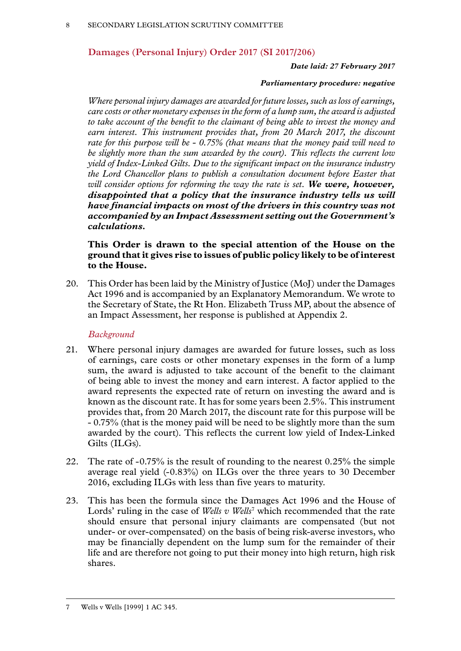## **Damages (Personal Injury) Order 2017 (SI 2017/206)**

#### *Date laid: 27 February 2017*

#### *Parliamentary procedure: negative*

*Where personal injury damages are awarded for future losses, such as loss of earnings, care costs or other monetary expenses in the form of a lump sum, the award is adjusted to take account of the benefit to the claimant of being able to invest the money and*  earn interest. This instrument provides that, from 20 March 2017, the discount *rate for this purpose will be - 0.75% (that means that the money paid will need to be slightly more than the sum awarded by the court). This reflects the current low yield of Index-Linked Gilts. Due to the significant impact on the insurance industry the Lord Chancellor plans to publish a consultation document before Easter that will consider options for reforming the way the rate is set. We were, however, disappointed that a policy that the insurance industry tells us will have financial impacts on most of the drivers in this country was not accompanied by an Impact Assessment setting out the Government's calculations.*

**This Order is drawn to the special attention of the House on the ground that it gives rise to issues of public policy likely to be of interest to the House.**

20. This Order has been laid by the Ministry of Justice (MoJ) under the Damages Act 1996 and is accompanied by an Explanatory Memorandum. We wrote to the Secretary of State, the Rt Hon. Elizabeth Truss MP, about the absence of an Impact Assessment, her response is published at Appendix 2.

#### *Background*

- 21. Where personal injury damages are awarded for future losses, such as loss of earnings, care costs or other monetary expenses in the form of a lump sum, the award is adjusted to take account of the benefit to the claimant of being able to invest the money and earn interest. A factor applied to the award represents the expected rate of return on investing the award and is known as the discount rate. It has for some years been 2.5%. This instrument provides that, from 20 March 2017, the discount rate for this purpose will be - 0.75% (that is the money paid will be need to be slightly more than the sum awarded by the court). This reflects the current low yield of Index-Linked Gilts (ILGs).
- 22. The rate of -0.75% is the result of rounding to the nearest 0.25% the simple average real yield (-0.83%) on ILGs over the three years to 30 December 2016, excluding ILGs with less than five years to maturity.
- 23. This has been the formula since the Damages Act 1996 and the House of Lords' ruling in the case of *Wells v Wells*<sup>7</sup> which recommended that the rate should ensure that personal injury claimants are compensated (but not under- or over-compensated) on the basis of being risk-averse investors, who may be financially dependent on the lump sum for the remainder of their life and are therefore not going to put their money into high return, high risk shares.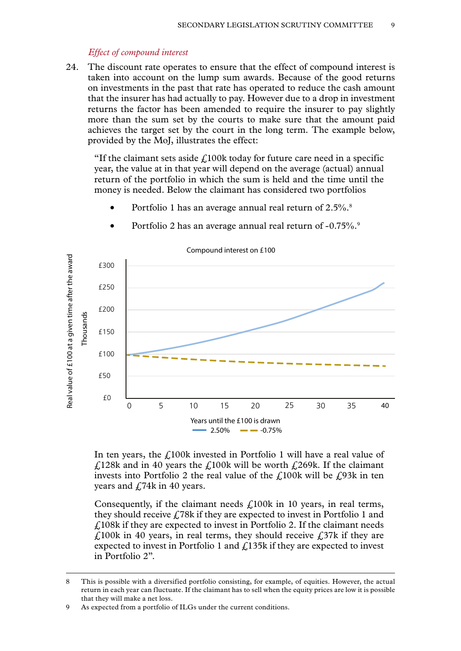#### *Effect of compound interest*

24. The discount rate operates to ensure that the effect of compound interest is taken into account on the lump sum awards. Because of the good returns on investments in the past that rate has operated to reduce the cash amount that the insurer has had actually to pay. However due to a drop in investment returns the factor has been amended to require the insurer to pay slightly more than the sum set by the courts to make sure that the amount paid achieves the target set by the court in the long term. The example below, provided by the MoJ, illustrates the effect:

"If the claimant sets aside  $f<sub>i</sub>100k$  today for future care need in a specific year, the value at in that year will depend on the average (actual) annual return of the portfolio in which the sum is held and the time until the money is needed. Below the claimant has considered two portfolios

• Portfolio 1 has an average annual real return of 2.5%.<sup>8</sup>



• Portfolio 2 has an average annual real return of -0.75%.<sup>9</sup>

In ten years, the  $f<sub>100k</sub>$  invested in Portfolio 1 will have a real value of  $\angle$  £128k and in 40 years the £100k will be worth £269k. If the claimant invests into Portfolio 2 the real value of the  $\ell$ 100k will be  $\ell$ 93k in ten years and  $\angle$  74k in 40 years.

Consequently, if the claimant needs  $\angle$  100k in 10 years, in real terms, they should receive  $\angle$  78k if they are expected to invest in Portfolio 1 and  $f<sub>108k</sub>$  if they are expected to invest in Portfolio 2. If the claimant needs  $\angle$  £100k in 40 years, in real terms, they should receive £37k if they are expected to invest in Portfolio 1 and £135k if they are expected to invest in Portfolio 2".

<sup>8</sup> This is possible with a diversified portfolio consisting, for example, of equities. However, the actual return in each year can fluctuate. If the claimant has to sell when the equity prices are low it is possible that they will make a net loss.

<sup>9</sup> As expected from a portfolio of ILGs under the current conditions.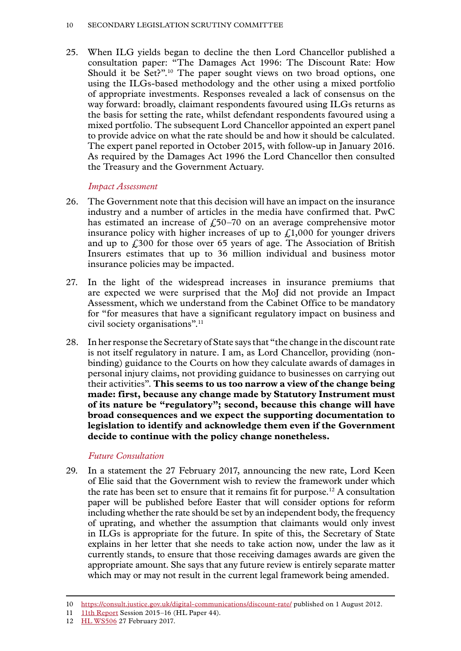25. When ILG yields began to decline the then Lord Chancellor published a consultation paper: "The Damages Act 1996: The Discount Rate: How Should it be Set?".<sup>10</sup> The paper sought views on two broad options, one using the ILGs-based methodology and the other using a mixed portfolio of appropriate investments. Responses revealed a lack of consensus on the way forward: broadly, claimant respondents favoured using ILGs returns as the basis for setting the rate, whilst defendant respondents favoured using a mixed portfolio. The subsequent Lord Chancellor appointed an expert panel to provide advice on what the rate should be and how it should be calculated. The expert panel reported in October 2015, with follow-up in January 2016. As required by the Damages Act 1996 the Lord Chancellor then consulted the Treasury and the Government Actuary.

#### *Impact Assessment*

- 26. The Government note that this decision will have an impact on the insurance industry and a number of articles in the media have confirmed that. PwC has estimated an increase of  $f_{0}$ 50–70 on an average comprehensive motor insurance policy with higher increases of up to  $\mathcal{L}1,000$  for younger drivers and up to  $\frac{2300}{100}$  for those over 65 years of age. The Association of British Insurers estimates that up to 36 million individual and business motor insurance policies may be impacted.
- 27. In the light of the widespread increases in insurance premiums that are expected we were surprised that the MoJ did not provide an Impact Assessment, which we understand from the Cabinet Office to be mandatory for "for measures that have a significant regulatory impact on business and civil society organisations".11
- 28. In her response the Secretary of State says that "the change in the discount rate is not itself regulatory in nature. I am, as Lord Chancellor, providing (nonbinding) guidance to the Courts on how they calculate awards of damages in personal injury claims, not providing guidance to businesses on carrying out their activities". **This seems to us too narrow a view of the change being made: first, because any change made by Statutory Instrument must of its nature be "regulatory"; second, because this change will have broad consequences and we expect the supporting documentation to legislation to identify and acknowledge them even if the Government decide to continue with the policy change nonetheless.**

## *Future Consultation*

29. In a statement the 27 February 2017, announcing the new rate, Lord Keen of Elie said that the Government wish to review the framework under which the rate has been set to ensure that it remains fit for purpose.<sup>12</sup> A consultation paper will be published before Easter that will consider options for reform including whether the rate should be set by an independent body, the frequency of uprating, and whether the assumption that claimants would only invest in ILGs is appropriate for the future. In spite of this, the Secretary of State explains in her letter that she needs to take action now, under the law as it currently stands, to ensure that those receiving damages awards are given the appropriate amount. She says that any future review is entirely separate matter which may or may not result in the current legal framework being amended.

<sup>10</sup> <https://consult.justice.gov.uk/digital-communications/discount-rate/>published on 1 August 2012.

<sup>11</sup> [11th Report](https://www.publications.parliament.uk/pa/ld201516/ldselect/ldsecleg/44/4410.htm) Session 2015–16 (HL Paper 44).

<sup>12</sup> [HL WS506](http://www.parliament.uk/business/publications/written-questions-answers-statements/written-statement/Lords/2017-02-27/HLWS506/) 27 February 2017.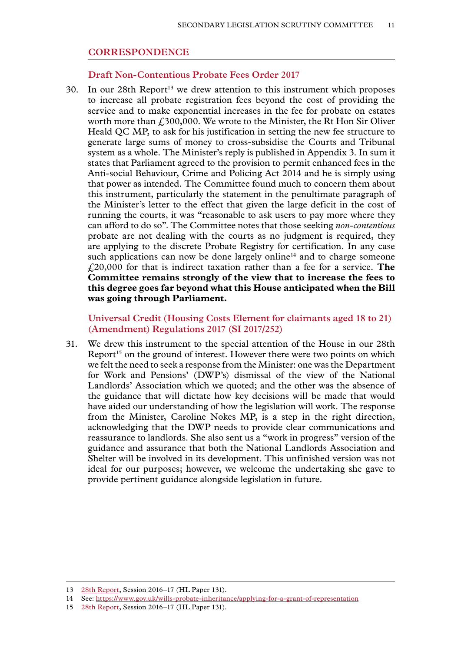#### **CORRESPONDENCE**

#### **Draft Non-Contentious Probate Fees Order 2017**

30. In our  $28$ th Report<sup>13</sup> we drew attention to this instrument which proposes to increase all probate registration fees beyond the cost of providing the service and to make exponential increases in the fee for probate on estates worth more than £300,000. We wrote to the Minister, the Rt Hon Sir Oliver Heald QC MP, to ask for his justification in setting the new fee structure to generate large sums of money to cross-subsidise the Courts and Tribunal system as a whole. The Minister's reply is published in Appendix 3. In sum it states that Parliament agreed to the provision to permit enhanced fees in the Anti-social Behaviour, Crime and Policing Act 2014 and he is simply using that power as intended. The Committee found much to concern them about this instrument, particularly the statement in the penultimate paragraph of the Minister's letter to the effect that given the large deficit in the cost of running the courts, it was "reasonable to ask users to pay more where they can afford to do so". The Committee notes that those seeking *non-contentious* probate are not dealing with the courts as no judgment is required, they are applying to the discrete Probate Registry for certification. In any case such applications can now be done largely online<sup>14</sup> and to charge someone £20,000 for that is indirect taxation rather than a fee for a service. **The Committee remains strongly of the view that to increase the fees to this degree goes far beyond what this House anticipated when the Bill was going through Parliament.**

**Universal Credit (Housing Costs Element for claimants aged 18 to 21) (Amendment) Regulations 2017 (SI 2017/252)**

31. We drew this instrument to the special attention of the House in our 28th Report<sup>15</sup> on the ground of interest. However there were two points on which we felt the need to seek a response from the Minister: one was the Department for Work and Pensions' (DWP's) dismissal of the view of the National Landlords' Association which we quoted; and the other was the absence of the guidance that will dictate how key decisions will be made that would have aided our understanding of how the legislation will work. The response from the Minister, Caroline Nokes MP, is a step in the right direction, acknowledging that the DWP needs to provide clear communications and reassurance to landlords. She also sent us a "work in progress" version of the guidance and assurance that both the National Landlords Association and Shelter will be involved in its development. This unfinished version was not ideal for our purposes; however, we welcome the undertaking she gave to provide pertinent guidance alongside legislation in future.

<sup>13</sup> [28th Report,](https://www.publications.parliament.uk/pa/ld201617/ldselect/ldsecleg/131/131.pdf) Session 2016–17 (HL Paper 131).

<sup>14</sup> See:<https://www.gov.uk/wills-probate-inheritance/applying-for-a-grant-of-representation>

<sup>15</sup> [28th Report,](https://www.publications.parliament.uk/pa/ld201617/ldselect/ldsecleg/131/131.pdf) Session 2016–17 (HL Paper 131).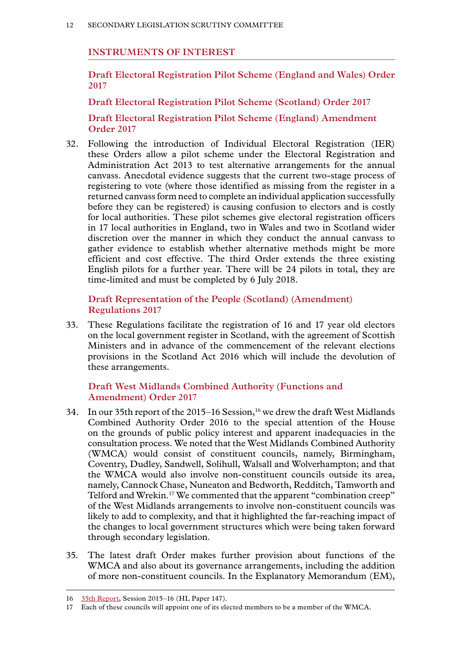#### **INSTRUMENTS OF INTEREST**

**Draft Electoral Registration Pilot Scheme (England and Wales) Order 2017**

**Draft Electoral Registration Pilot Scheme (Scotland) Order 2017**

**Draft Electoral Registration Pilot Scheme (England) Amendment Order 2017**

32. Following the introduction of Individual Electoral Registration (IER) these Orders allow a pilot scheme under the Electoral Registration and Administration Act 2013 to test alternative arrangements for the annual canvass. Anecdotal evidence suggests that the current two-stage process of registering to vote (where those identified as missing from the register in a returned canvass form need to complete an individual application successfully before they can be registered) is causing confusion to electors and is costly for local authorities. These pilot schemes give electoral registration officers in 17 local authorities in England, two in Wales and two in Scotland wider discretion over the manner in which they conduct the annual canvass to gather evidence to establish whether alternative methods might be more efficient and cost effective. The third Order extends the three existing English pilots for a further year. There will be 24 pilots in total, they are time-limited and must be completed by 6 July 2018.

**Draft Representation of the People (Scotland) (Amendment) Regulations 2017**

33. These Regulations facilitate the registration of 16 and 17 year old electors on the local government register in Scotland, with the agreement of Scottish Ministers and in advance of the commencement of the relevant elections provisions in the Scotland Act 2016 which will include the devolution of these arrangements.

#### **Draft West Midlands Combined Authority (Functions and Amendment) Order 2017**

- 34. In our 35th report of the  $2015-16$  Session,<sup>16</sup> we drew the draft West Midlands Combined Authority Order 2016 to the special attention of the House on the grounds of public policy interest and apparent inadequacies in the consultation process. We noted that the West Midlands Combined Authority (WMCA) would consist of constituent councils, namely, Birmingham, Coventry, Dudley, Sandwell, Solihull, Walsall and Wolverhampton; and that the WMCA would also involve non-constituent councils outside its area, namely, Cannock Chase, Nuneaton and Bedworth, Redditch, Tamworth and Telford and Wrekin.<sup>17</sup> We commented that the apparent "combination creep" of the West Midlands arrangements to involve non-constituent councils was likely to add to complexity, and that it highlighted the far-reaching impact of the changes to local government structures which were being taken forward through secondary legislation.
- 35. The latest draft Order makes further provision about functions of the WMCA and also about its governance arrangements, including the addition of more non-constituent councils. In the Explanatory Memorandum (EM),

<sup>16</sup> [35th Report,](https://www.publications.parliament.uk/pa/ld201516/ldselect/ldsecleg/147/147.pdf) Session 2015–16 (HL Paper 147).

<sup>17</sup> Each of these councils will appoint one of its elected members to be a member of the WMCA.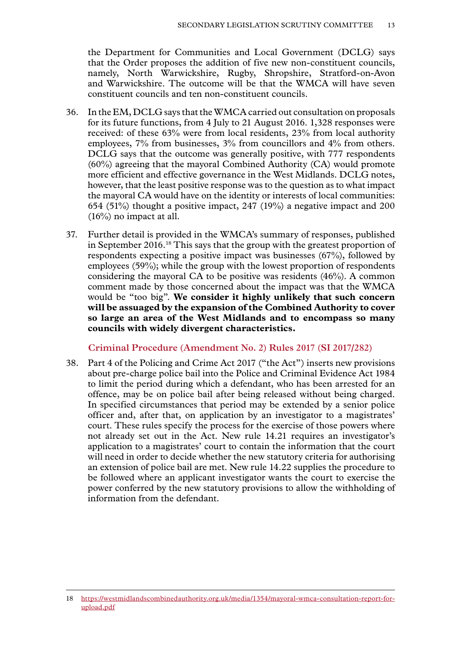the Department for Communities and Local Government (DCLG) says that the Order proposes the addition of five new non-constituent councils, namely, North Warwickshire, Rugby, Shropshire, Stratford-on-Avon and Warwickshire. The outcome will be that the WMCA will have seven constituent councils and ten non-constituent councils.

- 36. In the EM, DCLG says that the WMCA carried out consultation on proposals for its future functions, from 4 July to 21 August 2016. 1,328 responses were received: of these 63% were from local residents, 23% from local authority employees, 7% from businesses, 3% from councillors and 4% from others. DCLG says that the outcome was generally positive, with 777 respondents (60%) agreeing that the mayoral Combined Authority (CA) would promote more efficient and effective governance in the West Midlands. DCLG notes, however, that the least positive response was to the question as to what impact the mayoral CA would have on the identity or interests of local communities: 654 (51%) thought a positive impact, 247 (19%) a negative impact and 200  $(16\%)$  no impact at all.
- 37. Further detail is provided in the WMCA's summary of responses, published in September 2016.18 This says that the group with the greatest proportion of respondents expecting a positive impact was businesses (67%), followed by employees (59%); while the group with the lowest proportion of respondents considering the mayoral CA to be positive was residents (46%). A common comment made by those concerned about the impact was that the WMCA would be "too big". **We consider it highly unlikely that such concern will be assuaged by the expansion of the Combined Authority to cover so large an area of the West Midlands and to encompass so many councils with widely divergent characteristics.**

**Criminal Procedure (Amendment No. 2) Rules 2017 (SI 2017/282)**

38. Part 4 of the Policing and Crime Act 2017 ("the Act") inserts new provisions about pre-charge police bail into the Police and Criminal Evidence Act 1984 to limit the period during which a defendant, who has been arrested for an offence, may be on police bail after being released without being charged. In specified circumstances that period may be extended by a senior police officer and, after that, on application by an investigator to a magistrates' court. These rules specify the process for the exercise of those powers where not already set out in the Act. New rule 14.21 requires an investigator's application to a magistrates' court to contain the information that the court will need in order to decide whether the new statutory criteria for authorising an extension of police bail are met. New rule 14.22 supplies the procedure to be followed where an applicant investigator wants the court to exercise the power conferred by the new statutory provisions to allow the withholding of information from the defendant.

<sup>18</sup> [https://westmidlandscombinedauthority.org.uk/media/1354/mayoral-wmca-consultation-report-for](https://westmidlandscombinedauthority.org.uk/media/1354/mayoral-wmca-consultation-report-for-upload.pdf)[upload.pdf](https://westmidlandscombinedauthority.org.uk/media/1354/mayoral-wmca-consultation-report-for-upload.pdf)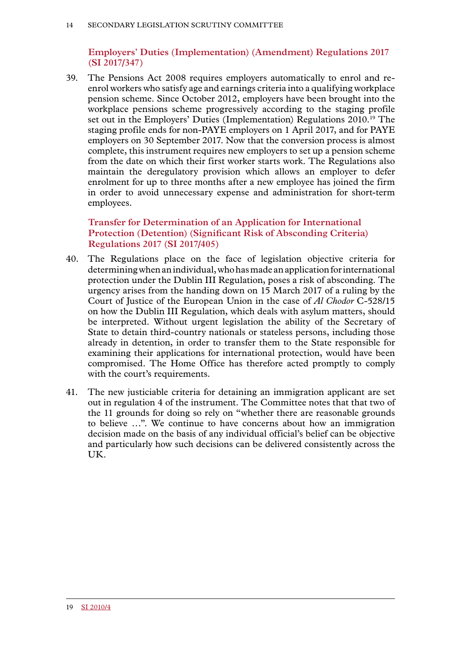## **Employers' Duties (Implementation) (Amendment) Regulations 2017 (SI 2017/347)**

39. The Pensions Act 2008 requires employers automatically to enrol and reenrol workers who satisfy age and earnings criteria into a qualifying workplace pension scheme. Since October 2012, employers have been brought into the workplace pensions scheme progressively according to the staging profile set out in the Employers' Duties (Implementation) Regulations 2010.19 The staging profile ends for non-PAYE employers on 1 April 2017, and for PAYE employers on 30 September 2017. Now that the conversion process is almost complete, this instrument requires new employers to set up a pension scheme from the date on which their first worker starts work. The Regulations also maintain the deregulatory provision which allows an employer to defer enrolment for up to three months after a new employee has joined the firm in order to avoid unnecessary expense and administration for short-term employees.

## **Transfer for Determination of an Application for International Protection (Detention) (Significant Risk of Absconding Criteria) Regulations 2017 (SI 2017/405)**

- 40. The Regulations place on the face of legislation objective criteria for determining when an individual, who has made an application for international protection under the Dublin III Regulation, poses a risk of absconding. The urgency arises from the handing down on 15 March 2017 of a ruling by the Court of Justice of the European Union in the case of *Al Chodor* C-528/15 on how the Dublin III Regulation, which deals with asylum matters, should be interpreted. Without urgent legislation the ability of the Secretary of State to detain third-country nationals or stateless persons, including those already in detention, in order to transfer them to the State responsible for examining their applications for international protection, would have been compromised. The Home Office has therefore acted promptly to comply with the court's requirements.
- 41. The new justiciable criteria for detaining an immigration applicant are set out in regulation 4 of the instrument. The Committee notes that that two of the 11 grounds for doing so rely on "whether there are reasonable grounds to believe …". We continue to have concerns about how an immigration decision made on the basis of any individual official's belief can be objective and particularly how such decisions can be delivered consistently across the UK.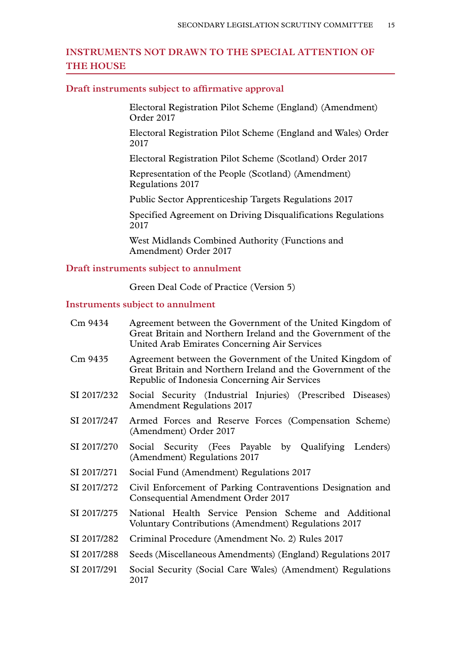## **INSTRUMENTS NOT DRAWN TO THE SPECIAL ATTENTION OF THE HOUSE**

#### **Draft instruments subject to affirmative approval**

Electoral Registration Pilot Scheme (England) (Amendment) Order 2017

Electoral Registration Pilot Scheme (England and Wales) Order 2017

Electoral Registration Pilot Scheme (Scotland) Order 2017

Representation of the People (Scotland) (Amendment) Regulations 2017

Public Sector Apprenticeship Targets Regulations 2017

Specified Agreement on Driving Disqualifications Regulations 2017

West Midlands Combined Authority (Functions and Amendment) Order 2017

#### **Draft instruments subject to annulment**

Green Deal Code of Practice (Version 5)

#### **Instruments subject to annulment**

| Cm 9434     | Agreement between the Government of the United Kingdom of<br>Great Britain and Northern Ireland and the Government of the<br><b>United Arab Emirates Concerning Air Services</b> |
|-------------|----------------------------------------------------------------------------------------------------------------------------------------------------------------------------------|
| Cm 9435     | Agreement between the Government of the United Kingdom of<br>Great Britain and Northern Ireland and the Government of the<br>Republic of Indonesia Concerning Air Services       |
| SI 2017/232 | Social Security (Industrial Injuries) (Prescribed Diseases)<br><b>Amendment Regulations 2017</b>                                                                                 |
| SI 2017/247 | Armed Forces and Reserve Forces (Compensation Scheme)<br>(Amendment) Order 2017                                                                                                  |
| SI 2017/270 | Social Security (Fees Payable by Qualifying Lenders)<br>(Amendment) Regulations 2017                                                                                             |
| SI 2017/271 | Social Fund (Amendment) Regulations 2017                                                                                                                                         |
| SI 2017/272 | Civil Enforcement of Parking Contraventions Designation and<br>Consequential Amendment Order 2017                                                                                |
| SI 2017/275 | National Health Service Pension Scheme and Additional<br>Voluntary Contributions (Amendment) Regulations 2017                                                                    |
| SI 2017/282 | Criminal Procedure (Amendment No. 2) Rules 2017                                                                                                                                  |
| SI 2017/288 | Seeds (Miscellaneous Amendments) (England) Regulations 2017                                                                                                                      |
| SI 2017/291 | Social Security (Social Care Wales) (Amendment) Regulations<br>2017                                                                                                              |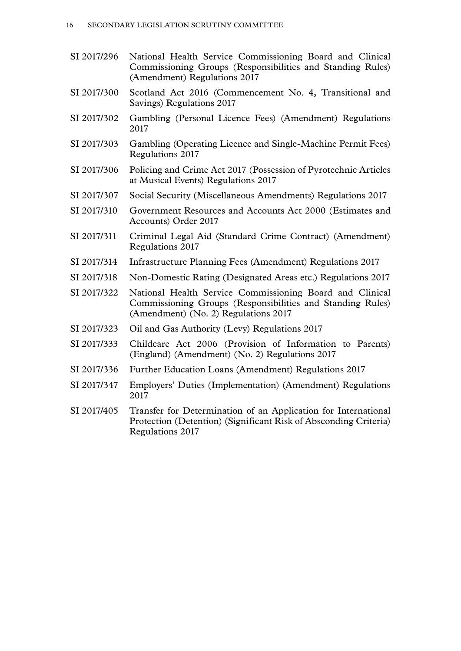- SI 2017/296 National Health Service Commissioning Board and Clinical Commissioning Groups (Responsibilities and Standing Rules) (Amendment) Regulations 2017
- SI 2017/300 Scotland Act 2016 (Commencement No. 4, Transitional and Savings) Regulations 2017
- SI 2017/302 Gambling (Personal Licence Fees) (Amendment) Regulations 2017
- SI 2017/303 Gambling (Operating Licence and Single-Machine Permit Fees) Regulations 2017
- SI 2017/306 Policing and Crime Act 2017 (Possession of Pyrotechnic Articles at Musical Events) Regulations 2017
- SI 2017/307 Social Security (Miscellaneous Amendments) Regulations 2017
- SI 2017/310 Government Resources and Accounts Act 2000 (Estimates and Accounts) Order 2017
- SI 2017/311 Criminal Legal Aid (Standard Crime Contract) (Amendment) Regulations 2017
- SI 2017/314 Infrastructure Planning Fees (Amendment) Regulations 2017
- SI 2017/318 Non-Domestic Rating (Designated Areas etc.) Regulations 2017
- SI 2017/322 National Health Service Commissioning Board and Clinical Commissioning Groups (Responsibilities and Standing Rules) (Amendment) (No. 2) Regulations 2017
- SI 2017/323 Oil and Gas Authority (Levy) Regulations 2017
- SI 2017/333 Childcare Act 2006 (Provision of Information to Parents) (England) (Amendment) (No. 2) Regulations 2017
- SI 2017/336 Further Education Loans (Amendment) Regulations 2017
- SI 2017/347 Employers' Duties (Implementation) (Amendment) Regulations 2017
- SI 2017/405 Transfer for Determination of an Application for International Protection (Detention) (Significant Risk of Absconding Criteria) Regulations 2017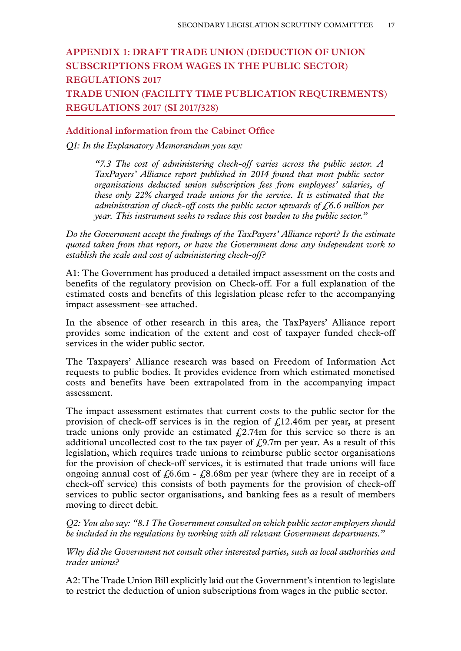## **Appendix 1: DRAFT TRADE UNION (DEDUCTION OF UNION SUBSCRIPTIONS FROM WAGES IN THE PUBLIC SECTOR) REGULATIONS 2017 TRADE UNION (FACILITY TIME PUBLICATION REQUIREMENTS) REGULATIONS 2017 (SI 2017/328)**

#### **Additional information from the Cabinet Office**

*Q1: In the Explanatory Memorandum you say:*

*"7.3 The cost of administering check-off varies across the public sector. A TaxPayers' Alliance report published in 2014 found that most public sector organisations deducted union subscription fees from employees' salaries, of these only 22% charged trade unions for the service. It is estimated that the administration of check-off costs the public sector upwards of £6.6 million per year. This instrument seeks to reduce this cost burden to the public sector."*

*Do the Government accept the findings of the TaxPayers' Alliance report? Is the estimate quoted taken from that report, or have the Government done any independent work to establish the scale and cost of administering check-off?*

A1: The Government has produced a detailed impact assessment on the costs and benefits of the regulatory provision on Check-off. For a full explanation of the estimated costs and benefits of this legislation please refer to the accompanying impact assessment–see attached.

In the absence of other research in this area, the TaxPayers' Alliance report provides some indication of the extent and cost of taxpayer funded check-off services in the wider public sector.

The Taxpayers' Alliance research was based on Freedom of Information Act requests to public bodies. It provides evidence from which estimated monetised costs and benefits have been extrapolated from in the accompanying impact assessment.

The impact assessment estimates that current costs to the public sector for the provision of check-off services is in the region of  $f<sub>12.46m</sub>$  per year, at present trade unions only provide an estimated  $f(2.74m)$  for this service so there is an additional uncollected cost to the tax payer of  $f(0.7m)$  per year. As a result of this legislation, which requires trade unions to reimburse public sector organisations for the provision of check-off services, it is estimated that trade unions will face ongoing annual cost of  $f_0.6m - f_0.68m$  per year (where they are in receipt of a check-off service) this consists of both payments for the provision of check-off services to public sector organisations, and banking fees as a result of members moving to direct debit.

*Q2: You also say: "8.1 The Government consulted on which public sector employers should be included in the regulations by working with all relevant Government departments."*

*Why did the Government not consult other interested parties, such as local authorities and trades unions?*

A2: The Trade Union Bill explicitly laid out the Government's intention to legislate to restrict the deduction of union subscriptions from wages in the public sector.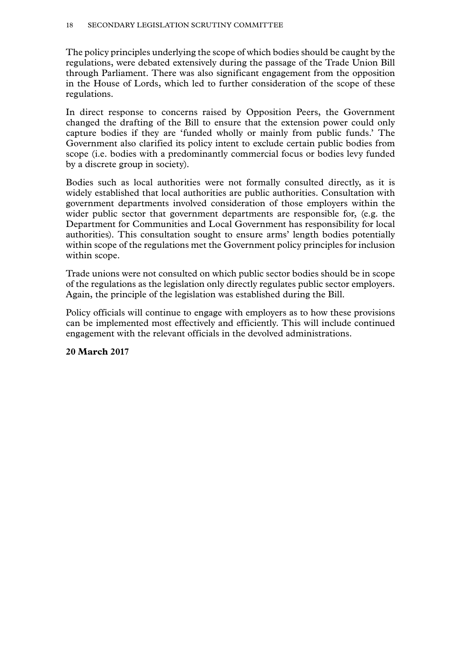The policy principles underlying the scope of which bodies should be caught by the regulations, were debated extensively during the passage of the Trade Union Bill through Parliament. There was also significant engagement from the opposition in the House of Lords, which led to further consideration of the scope of these regulations.

In direct response to concerns raised by Opposition Peers, the Government changed the drafting of the Bill to ensure that the extension power could only capture bodies if they are 'funded wholly or mainly from public funds.' The Government also clarified its policy intent to exclude certain public bodies from scope (i.e. bodies with a predominantly commercial focus or bodies levy funded by a discrete group in society).

Bodies such as local authorities were not formally consulted directly, as it is widely established that local authorities are public authorities. Consultation with government departments involved consideration of those employers within the wider public sector that government departments are responsible for, (e.g. the Department for Communities and Local Government has responsibility for local authorities). This consultation sought to ensure arms' length bodies potentially within scope of the regulations met the Government policy principles for inclusion within scope.

Trade unions were not consulted on which public sector bodies should be in scope of the regulations as the legislation only directly regulates public sector employers. Again, the principle of the legislation was established during the Bill.

Policy officials will continue to engage with employers as to how these provisions can be implemented most effectively and efficiently. This will include continued engagement with the relevant officials in the devolved administrations.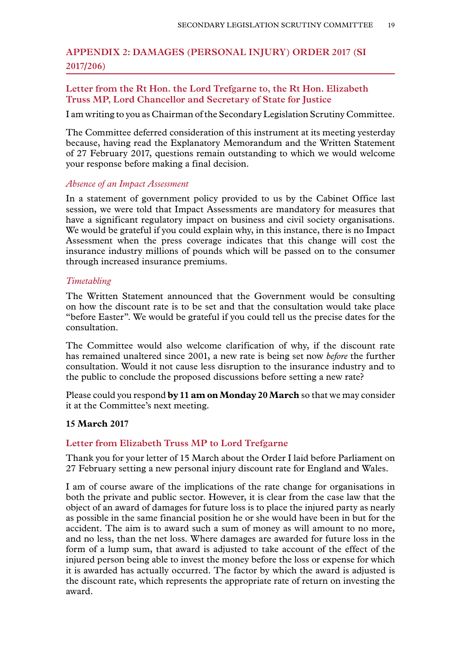## **Appendix 2: DAMAGES (PERSONAL INJURY) ORDER 2017 (SI 2017/206)**

#### **Letter from the Rt Hon. the Lord Trefgarne to, the Rt Hon. Elizabeth Truss MP, Lord Chancellor and Secretary of State for Justice**

I am writing to you as Chairman of the Secondary Legislation Scrutiny Committee.

The Committee deferred consideration of this instrument at its meeting yesterday because, having read the Explanatory Memorandum and the Written Statement of 27 February 2017, questions remain outstanding to which we would welcome your response before making a final decision.

#### *Absence of an Impact Assessment*

In a statement of government policy provided to us by the Cabinet Office last session, we were told that Impact Assessments are mandatory for measures that have a significant regulatory impact on business and civil society organisations. We would be grateful if you could explain why, in this instance, there is no Impact Assessment when the press coverage indicates that this change will cost the insurance industry millions of pounds which will be passed on to the consumer through increased insurance premiums.

#### *Timetabling*

The Written Statement announced that the Government would be consulting on how the discount rate is to be set and that the consultation would take place "before Easter". We would be grateful if you could tell us the precise dates for the consultation.

The Committee would also welcome clarification of why, if the discount rate has remained unaltered since 2001, a new rate is being set now *before* the further consultation. Would it not cause less disruption to the insurance industry and to the public to conclude the proposed discussions before setting a new rate?

Please could you respond **by 11 am on Monday 20 March** so that we may consider it at the Committee's next meeting.

#### **15 March 2017**

#### **Letter from Elizabeth Truss MP to Lord Trefgarne**

Thank you for your letter of 15 March about the Order I laid before Parliament on 27 February setting a new personal injury discount rate for England and Wales.

I am of course aware of the implications of the rate change for organisations in both the private and public sector. However, it is clear from the case law that the object of an award of damages for future loss is to place the injured party as nearly as possible in the same financial position he or she would have been in but for the accident. The aim is to award such a sum of money as will amount to no more, and no less, than the net loss. Where damages are awarded for future loss in the form of a lump sum, that award is adjusted to take account of the effect of the injured person being able to invest the money before the loss or expense for which it is awarded has actually occurred. The factor by which the award is adjusted is the discount rate, which represents the appropriate rate of return on investing the award.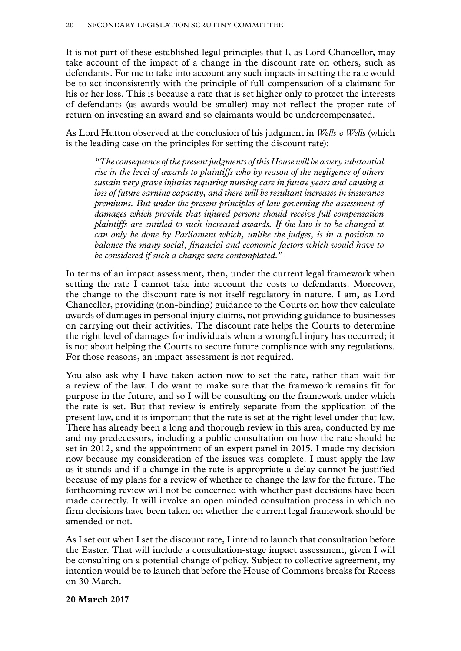It is not part of these established legal principles that I, as Lord Chancellor, may take account of the impact of a change in the discount rate on others, such as defendants. For me to take into account any such impacts in setting the rate would be to act inconsistently with the principle of full compensation of a claimant for his or her loss. This is because a rate that is set higher only to protect the interests of defendants (as awards would be smaller) may not reflect the proper rate of return on investing an award and so claimants would be undercompensated.

As Lord Hutton observed at the conclusion of his judgment in *Wells v Wells* (which is the leading case on the principles for setting the discount rate):

*"The consequence of the present judgments of this House will be a very substantial rise in the level of awards to plaintiffs who by reason of the negligence of others sustain very grave injuries requiring nursing care in future years and causing a loss of future earning capacity, and there will be resultant increases in insurance premiums. But under the present principles of law governing the assessment of damages which provide that injured persons should receive full compensation plaintiffs are entitled to such increased awards. If the law is to be changed it can only be done by Parliament which, unlike the judges, is in a position to balance the many social, financial and economic factors which would have to be considered if such a change were contemplated."*

In terms of an impact assessment, then, under the current legal framework when setting the rate I cannot take into account the costs to defendants. Moreover, the change to the discount rate is not itself regulatory in nature. I am, as Lord Chancellor, providing (non-binding) guidance to the Courts on how they calculate awards of damages in personal injury claims, not providing guidance to businesses on carrying out their activities. The discount rate helps the Courts to determine the right level of damages for individuals when a wrongful injury has occurred; it is not about helping the Courts to secure future compliance with any regulations. For those reasons, an impact assessment is not required.

You also ask why I have taken action now to set the rate, rather than wait for a review of the law. I do want to make sure that the framework remains fit for purpose in the future, and so I will be consulting on the framework under which the rate is set. But that review is entirely separate from the application of the present law, and it is important that the rate is set at the right level under that law. There has already been a long and thorough review in this area, conducted by me and my predecessors, including a public consultation on how the rate should be set in 2012, and the appointment of an expert panel in 2015. I made my decision now because my consideration of the issues was complete. I must apply the law as it stands and if a change in the rate is appropriate a delay cannot be justified because of my plans for a review of whether to change the law for the future. The forthcoming review will not be concerned with whether past decisions have been made correctly. It will involve an open minded consultation process in which no firm decisions have been taken on whether the current legal framework should be amended or not.

As I set out when I set the discount rate, I intend to launch that consultation before the Easter. That will include a consultation-stage impact assessment, given I will be consulting on a potential change of policy. Subject to collective agreement, my intention would be to launch that before the House of Commons breaks for Recess on 30 March.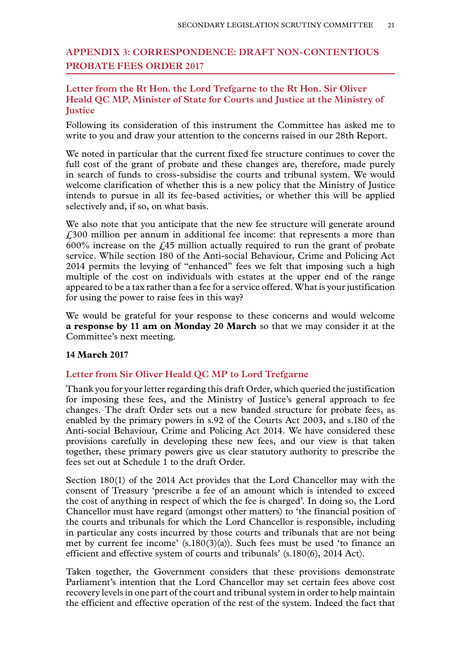## **Appendix 3: CORRESPONDENCE: DRAFT NON-CONTENTIOUS PROBATE FEES ORDER 2017**

#### **Letter from the Rt Hon. the Lord Trefgarne to the Rt Hon. Sir Oliver Heald QC MP, Minister of State for Courts and Justice at the Ministry of Justice**

Following its consideration of this instrument the Committee has asked me to write to you and draw your attention to the concerns raised in our 28th Report.

We noted in particular that the current fixed fee structure continues to cover the full cost of the grant of probate and these changes are, therefore, made purely in search of funds to cross-subsidise the courts and tribunal system. We would welcome clarification of whether this is a new policy that the Ministry of Justice intends to pursue in all its fee-based activities, or whether this will be applied selectively and, if so, on what basis.

We also note that you anticipate that the new fee structure will generate around £300 million per annum in additional fee income: that represents a more than  $600\%$  increase on the  $\angle$  45 million actually required to run the grant of probate service. While section 180 of the Anti-social Behaviour, Crime and Policing Act 2014 permits the levying of "enhanced" fees we felt that imposing such a high multiple of the cost on individuals with estates at the upper end of the range appeared to be a tax rather than a fee for a service offered. What is your justification for using the power to raise fees in this way?

We would be grateful for your response to these concerns and would welcome **a response by 11 am on Monday 20 March** so that we may consider it at the Committee's next meeting.

#### **14 March 2017**

#### **Letter from Sir Oliver Heald QC MP to Lord Trefgarne**

Thank you for your letter regarding this draft Order, which queried the justification for imposing these fees, and the Ministry of Justice's general approach to fee changes. The draft Order sets out a new banded structure for probate fees, as enabled by the primary powers in s.92 of the Courts Act 2003, and s.180 of the Anti-social Behaviour, Crime and Policing Act 2014. We have considered these provisions carefully in developing these new fees, and our view is that taken together, these primary powers give us clear statutory authority to prescribe the fees set out at Schedule 1 to the draft Order.

Section 180(1) of the 2014 Act provides that the Lord Chancellor may with the consent of Treasury 'prescribe a fee of an amount which is intended to exceed the cost of anything in respect of which the fee is charged'. In doing so, the Lord Chancellor must have regard (amongst other matters) to 'the financial position of the courts and tribunals for which the Lord Chancellor is responsible, including in particular any costs incurred by those courts and tribunals that are not being met by current fee income' (s.180(3)(a)). Such fees must be used 'to finance an efficient and effective system of courts and tribunals' (s.180(6), 2014 Act).

Taken together, the Government considers that these provisions demonstrate Parliament's intention that the Lord Chancellor may set certain fees above cost recovery levels in one part of the court and tribunal system in order to help maintain the efficient and effective operation of the rest of the system. Indeed the fact that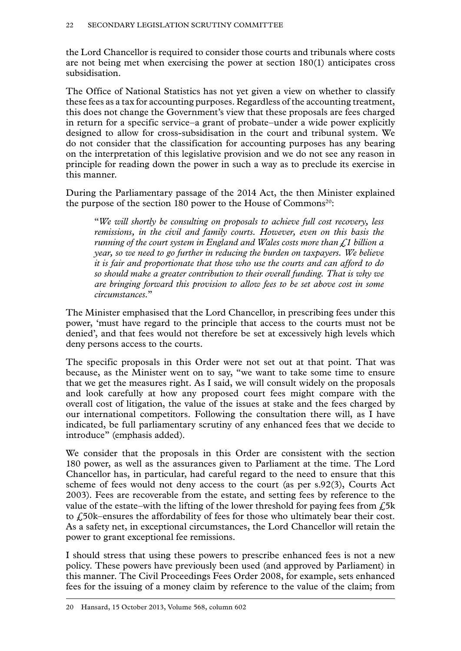the Lord Chancellor is required to consider those courts and tribunals where costs are not being met when exercising the power at section 180(1) anticipates cross subsidisation.

The Office of National Statistics has not yet given a view on whether to classify these fees as a tax for accounting purposes. Regardless of the accounting treatment, this does not change the Government's view that these proposals are fees charged in return for a specific service–a grant of probate–under a wide power explicitly designed to allow for cross-subsidisation in the court and tribunal system. We do not consider that the classification for accounting purposes has any bearing on the interpretation of this legislative provision and we do not see any reason in principle for reading down the power in such a way as to preclude its exercise in this manner.

During the Parliamentary passage of the 2014 Act, the then Minister explained the purpose of the section 180 power to the House of Commons<sup>20</sup>:

"*We will shortly be consulting on proposals to achieve full cost recovery, less remissions, in the civil and family courts. However, even on this basis the running of the court system in England and Wales costs more than £1 billion a year, so we need to go further in reducing the burden on taxpayers. We believe it is fair and proportionate that those who use the courts and can afford to do so should make a greater contribution to their overall funding. That is why we are bringing forward this provision to allow fees to be set above cost in some circumstances.*"

The Minister emphasised that the Lord Chancellor, in prescribing fees under this power, 'must have regard to the principle that access to the courts must not be denied', and that fees would not therefore be set at excessively high levels which deny persons access to the courts.

The specific proposals in this Order were not set out at that point. That was because, as the Minister went on to say, "we want to take some time to ensure that we get the measures right. As I said, we will consult widely on the proposals and look carefully at how any proposed court fees might compare with the overall cost of litigation, the value of the issues at stake and the fees charged by our international competitors. Following the consultation there will, as I have indicated, be full parliamentary scrutiny of any enhanced fees that we decide to introduce" (emphasis added).

We consider that the proposals in this Order are consistent with the section 180 power, as well as the assurances given to Parliament at the time. The Lord Chancellor has, in particular, had careful regard to the need to ensure that this scheme of fees would not deny access to the court (as per s.92(3), Courts Act 2003). Fees are recoverable from the estate, and setting fees by reference to the value of the estate–with the lifting of the lower threshold for paying fees from  $\hat{L}$ <sub>5</sub>k to  $\ell$ 50k–ensures the affordability of fees for those who ultimately bear their cost. As a safety net, in exceptional circumstances, the Lord Chancellor will retain the power to grant exceptional fee remissions.

I should stress that using these powers to prescribe enhanced fees is not a new policy. These powers have previously been used (and approved by Parliament) in this manner. The Civil Proceedings Fees Order 2008, for example, sets enhanced fees for the issuing of a money claim by reference to the value of the claim; from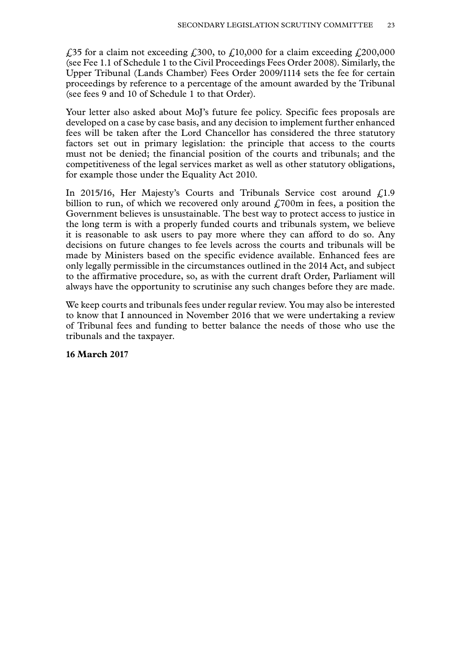£35 for a claim not exceeding £300, to £10,000 for a claim exceeding £200,000 (see Fee 1.1 of Schedule 1 to the Civil Proceedings Fees Order 2008). Similarly, the Upper Tribunal (Lands Chamber) Fees Order 2009/1114 sets the fee for certain proceedings by reference to a percentage of the amount awarded by the Tribunal (see fees 9 and 10 of Schedule 1 to that Order).

Your letter also asked about MoJ's future fee policy. Specific fees proposals are developed on a case by case basis, and any decision to implement further enhanced fees will be taken after the Lord Chancellor has considered the three statutory factors set out in primary legislation: the principle that access to the courts must not be denied; the financial position of the courts and tribunals; and the competitiveness of the legal services market as well as other statutory obligations, for example those under the Equality Act 2010.

In 2015/16, Her Majesty's Courts and Tribunals Service cost around  $f(1.9)$ billion to run, of which we recovered only around  $\text{\emph{L}}700\text{m}$  in fees, a position the Government believes is unsustainable. The best way to protect access to justice in the long term is with a properly funded courts and tribunals system, we believe it is reasonable to ask users to pay more where they can afford to do so. Any decisions on future changes to fee levels across the courts and tribunals will be made by Ministers based on the specific evidence available. Enhanced fees are only legally permissible in the circumstances outlined in the 2014 Act, and subject to the affirmative procedure, so, as with the current draft Order, Parliament will always have the opportunity to scrutinise any such changes before they are made.

We keep courts and tribunals fees under regular review. You may also be interested to know that I announced in November 2016 that we were undertaking a review of Tribunal fees and funding to better balance the needs of those who use the tribunals and the taxpayer.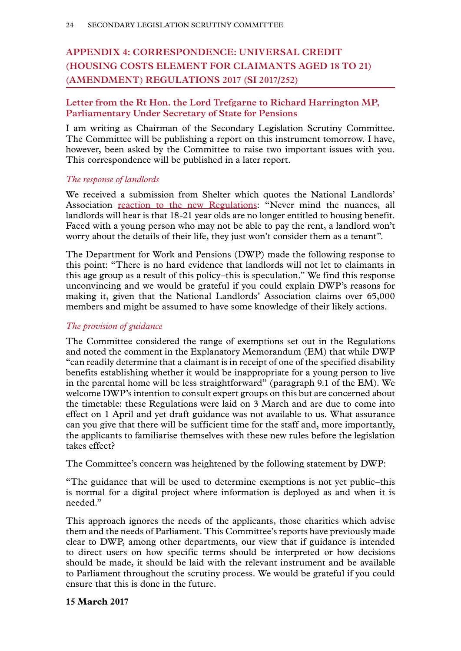## **Appendix 4: CORRESPONDENCE: UNIVERSAL CREDIT (HOUSING COSTS ELEMENT FOR CLAIMANTS AGED 18 TO 21) (AMENDMENT) REGULATIONS 2017 (SI 2017/252)**

## **Letter from the Rt Hon. the Lord Trefgarne to Richard Harrington MP, Parliamentary Under Secretary of State for Pensions**

I am writing as Chairman of the Secondary Legislation Scrutiny Committee. The Committee will be publishing a report on this instrument tomorrow. I have, however, been asked by the Committee to raise two important issues with you. This correspondence will be published in a later report.

#### *The response of landlords*

We received a submission from Shelter which quotes the National Landlords' Association [reaction to the new Regulations:](http://www.landlords.org.uk/news-campaigns/news/closing-the-door-on-the-vulnerable-nla-slams-18-21s-benefit-restriction) "Never mind the nuances, all landlords will hear is that 18-21 year olds are no longer entitled to housing benefit. Faced with a young person who may not be able to pay the rent, a landlord won't worry about the details of their life, they just won't consider them as a tenant".

The Department for Work and Pensions (DWP) made the following response to this point: "There is no hard evidence that landlords will not let to claimants in this age group as a result of this policy–this is speculation." We find this response unconvincing and we would be grateful if you could explain DWP's reasons for making it, given that the National Landlords' Association claims over 65,000 members and might be assumed to have some knowledge of their likely actions.

#### *The provision of guidance*

The Committee considered the range of exemptions set out in the Regulations and noted the comment in the Explanatory Memorandum (EM) that while DWP "can readily determine that a claimant is in receipt of one of the specified disability benefits establishing whether it would be inappropriate for a young person to live in the parental home will be less straightforward" (paragraph 9.1 of the EM). We welcome DWP's intention to consult expert groups on this but are concerned about the timetable: these Regulations were laid on 3 March and are due to come into effect on 1 April and yet draft guidance was not available to us. What assurance can you give that there will be sufficient time for the staff and, more importantly, the applicants to familiarise themselves with these new rules before the legislation takes effect?

The Committee's concern was heightened by the following statement by DWP:

"The guidance that will be used to determine exemptions is not yet public–this is normal for a digital project where information is deployed as and when it is needed."

This approach ignores the needs of the applicants, those charities which advise them and the needs of Parliament. This Committee's reports have previously made clear to DWP, among other departments, our view that if guidance is intended to direct users on how specific terms should be interpreted or how decisions should be made, it should be laid with the relevant instrument and be available to Parliament throughout the scrutiny process. We would be grateful if you could ensure that this is done in the future.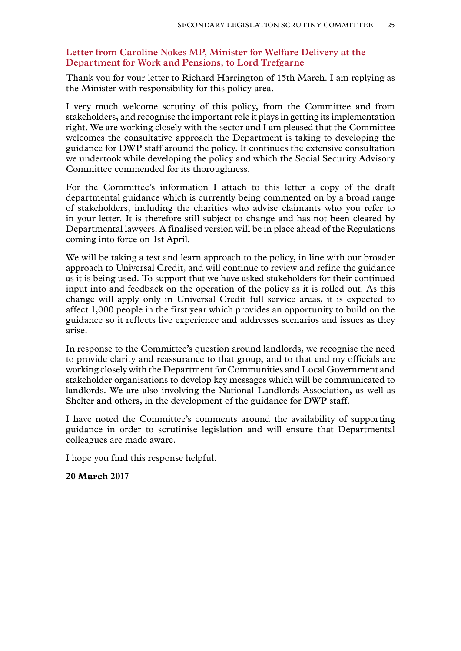#### **Letter from Caroline Nokes MP, Minister for Welfare Delivery at the Department for Work and Pensions, to Lord Trefgarne**

Thank you for your letter to Richard Harrington of 15th March. I am replying as the Minister with responsibility for this policy area.

I very much welcome scrutiny of this policy, from the Committee and from stakeholders, and recognise the important role it plays in getting its implementation right. We are working closely with the sector and I am pleased that the Committee welcomes the consultative approach the Department is taking to developing the guidance for DWP staff around the policy. It continues the extensive consultation we undertook while developing the policy and which the Social Security Advisory Committee commended for its thoroughness.

For the Committee's information I attach to this letter a copy of the draft departmental guidance which is currently being commented on by a broad range of stakeholders, including the charities who advise claimants who you refer to in your letter. It is therefore still subject to change and has not been cleared by Departmental lawyers. A finalised version will be in place ahead of the Regulations coming into force on 1st April.

We will be taking a test and learn approach to the policy, in line with our broader approach to Universal Credit, and will continue to review and refine the guidance as it is being used. To support that we have asked stakeholders for their continued input into and feedback on the operation of the policy as it is rolled out. As this change will apply only in Universal Credit full service areas, it is expected to affect 1,000 people in the first year which provides an opportunity to build on the guidance so it reflects live experience and addresses scenarios and issues as they arise.

In response to the Committee's question around landlords, we recognise the need to provide clarity and reassurance to that group, and to that end my officials are working closely with the Department for Communities and Local Government and stakeholder organisations to develop key messages which will be communicated to landlords. We are also involving the National Landlords Association, as well as Shelter and others, in the development of the guidance for DWP staff.

I have noted the Committee's comments around the availability of supporting guidance in order to scrutinise legislation and will ensure that Departmental colleagues are made aware.

I hope you find this response helpful.